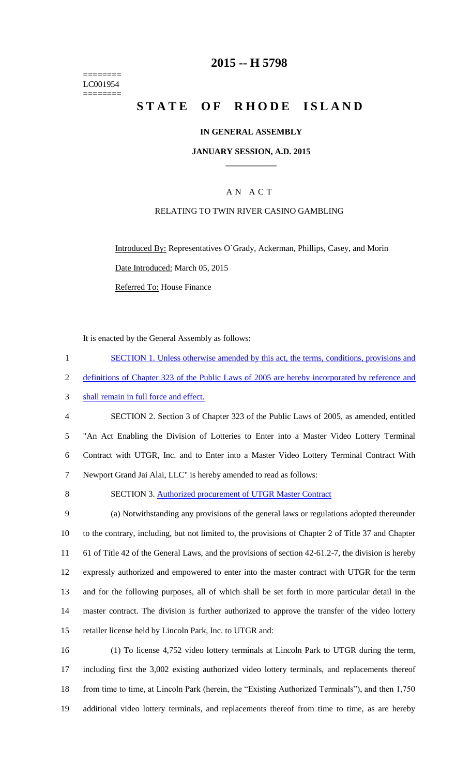======== LC001954 ========

# **2015 -- H 5798**

# **STATE OF RHODE ISLAND**

### **IN GENERAL ASSEMBLY**

### **JANUARY SESSION, A.D. 2015 \_\_\_\_\_\_\_\_\_\_\_\_**

# A N A C T

### RELATING TO TWIN RIVER CASINO GAMBLING

Introduced By: Representatives O`Grady, Ackerman, Phillips, Casey, and Morin Date Introduced: March 05, 2015

Referred To: House Finance

It is enacted by the General Assembly as follows:

1 SECTION 1. Unless otherwise amended by this act, the terms, conditions, provisions and definitions of Chapter 323 of the Public Laws of 2005 are hereby incorporated by reference and shall remain in full force and effect. SECTION 2. Section 3 of Chapter 323 of the Public Laws of 2005, as amended, entitled "An Act Enabling the Division of Lotteries to Enter into a Master Video Lottery Terminal Contract with UTGR, Inc. and to Enter into a Master Video Lottery Terminal Contract With Newport Grand Jai Alai, LLC" is hereby amended to read as follows: 8 SECTION 3. Authorized procurement of UTGR Master Contract (a) Notwithstanding any provisions of the general laws or regulations adopted thereunder to the contrary, including, but not limited to, the provisions of Chapter 2 of Title 37 and Chapter 61 of Title 42 of the General Laws, and the provisions of section 42-61.2-7, the division is hereby expressly authorized and empowered to enter into the master contract with UTGR for the term

13 and for the following purposes, all of which shall be set forth in more particular detail in the 14 master contract. The division is further authorized to approve the transfer of the video lottery 15 retailer license held by Lincoln Park, Inc. to UTGR and:

 (1) To license 4,752 video lottery terminals at Lincoln Park to UTGR during the term, including first the 3,002 existing authorized video lottery terminals, and replacements thereof 18 from time to time, at Lincoln Park (herein, the "Existing Authorized Terminals"), and then 1,750 additional video lottery terminals, and replacements thereof from time to time, as are hereby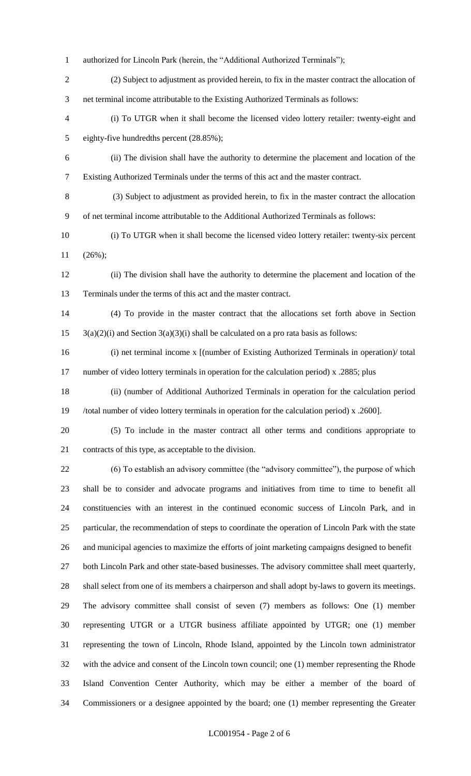- authorized for Lincoln Park (herein, the "Additional Authorized Terminals");
- (2) Subject to adjustment as provided herein, to fix in the master contract the allocation of net terminal income attributable to the Existing Authorized Terminals as follows:
- (i) To UTGR when it shall become the licensed video lottery retailer: twenty-eight and eighty-five hundredths percent (28.85%);
- (ii) The division shall have the authority to determine the placement and location of the Existing Authorized Terminals under the terms of this act and the master contract.
- (3) Subject to adjustment as provided herein, to fix in the master contract the allocation of net terminal income attributable to the Additional Authorized Terminals as follows:
- (i) To UTGR when it shall become the licensed video lottery retailer: twenty-six percent (26%);
- (ii) The division shall have the authority to determine the placement and location of the Terminals under the terms of this act and the master contract.
- (4) To provide in the master contract that the allocations set forth above in Section  $15 \quad 3(a)(2)(i)$  and Section  $3(a)(3)(i)$  shall be calculated on a pro rata basis as follows:
- (i) net terminal income x [(number of Existing Authorized Terminals in operation)/ total 17 number of video lottery terminals in operation for the calculation period) x .2885; plus
- (ii) (number of Additional Authorized Terminals in operation for the calculation period /total number of video lottery terminals in operation for the calculation period) x .2600].
- (5) To include in the master contract all other terms and conditions appropriate to contracts of this type, as acceptable to the division.
- (6) To establish an advisory committee (the "advisory committee"), the purpose of which shall be to consider and advocate programs and initiatives from time to time to benefit all constituencies with an interest in the continued economic success of Lincoln Park, and in particular, the recommendation of steps to coordinate the operation of Lincoln Park with the state and municipal agencies to maximize the efforts of joint marketing campaigns designed to benefit 27 both Lincoln Park and other state-based businesses. The advisory committee shall meet quarterly,

 shall select from one of its members a chairperson and shall adopt by-laws to govern its meetings. The advisory committee shall consist of seven (7) members as follows: One (1) member representing UTGR or a UTGR business affiliate appointed by UTGR; one (1) member representing the town of Lincoln, Rhode Island, appointed by the Lincoln town administrator with the advice and consent of the Lincoln town council; one (1) member representing the Rhode Island Convention Center Authority, which may be either a member of the board of Commissioners or a designee appointed by the board; one (1) member representing the Greater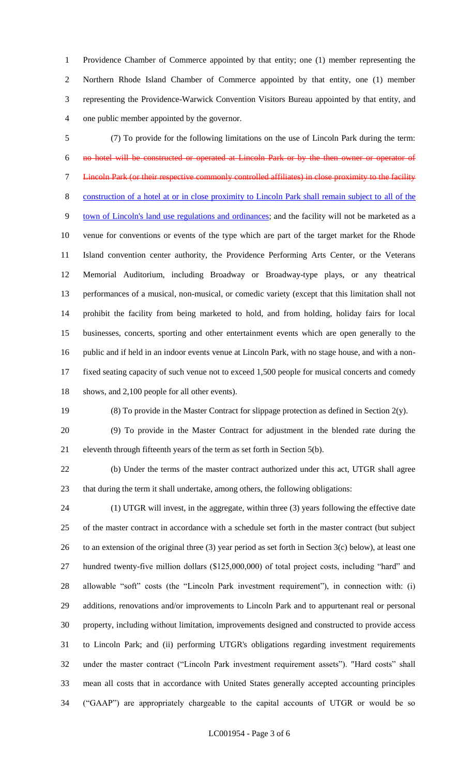Providence Chamber of Commerce appointed by that entity; one (1) member representing the Northern Rhode Island Chamber of Commerce appointed by that entity, one (1) member representing the Providence-Warwick Convention Visitors Bureau appointed by that entity, and one public member appointed by the governor.

 (7) To provide for the following limitations on the use of Lincoln Park during the term: no hotel will be constructed or operated at Lincoln Park or by the then owner or operator of Lincoln Park (or their respective commonly controlled affiliates) in close proximity to the facility construction of a hotel at or in close proximity to Lincoln Park shall remain subject to all of the town of Lincoln's land use regulations and ordinances; and the facility will not be marketed as a venue for conventions or events of the type which are part of the target market for the Rhode Island convention center authority, the Providence Performing Arts Center, or the Veterans Memorial Auditorium, including Broadway or Broadway-type plays, or any theatrical performances of a musical, non-musical, or comedic variety (except that this limitation shall not prohibit the facility from being marketed to hold, and from holding, holiday fairs for local businesses, concerts, sporting and other entertainment events which are open generally to the public and if held in an indoor events venue at Lincoln Park, with no stage house, and with a non- fixed seating capacity of such venue not to exceed 1,500 people for musical concerts and comedy shows, and 2,100 people for all other events).

(8) To provide in the Master Contract for slippage protection as defined in Section 2(y).

 (9) To provide in the Master Contract for adjustment in the blended rate during the eleventh through fifteenth years of the term as set forth in Section 5(b).

 (b) Under the terms of the master contract authorized under this act, UTGR shall agree that during the term it shall undertake, among others, the following obligations:

 (1) UTGR will invest, in the aggregate, within three (3) years following the effective date of the master contract in accordance with a schedule set forth in the master contract (but subject 26 to an extension of the original three (3) year period as set forth in Section  $3(c)$  below), at least one hundred twenty-five million dollars (\$125,000,000) of total project costs, including "hard" and allowable "soft" costs (the "Lincoln Park investment requirement"), in connection with: (i) additions, renovations and/or improvements to Lincoln Park and to appurtenant real or personal property, including without limitation, improvements designed and constructed to provide access to Lincoln Park; and (ii) performing UTGR's obligations regarding investment requirements under the master contract ("Lincoln Park investment requirement assets"). "Hard costs" shall mean all costs that in accordance with United States generally accepted accounting principles ("GAAP") are appropriately chargeable to the capital accounts of UTGR or would be so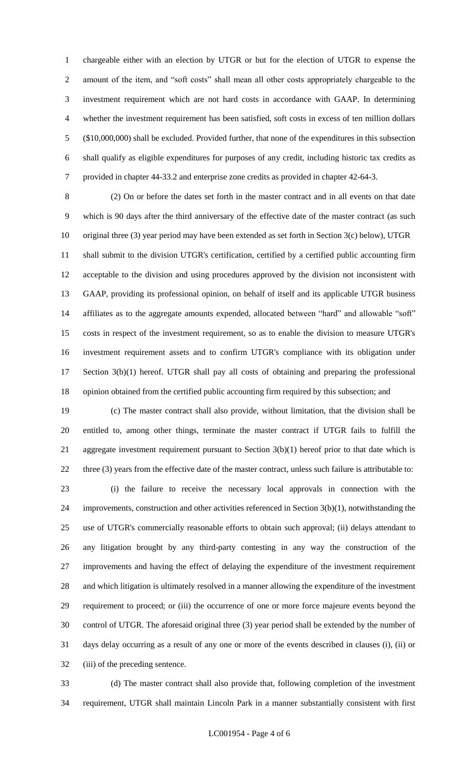chargeable either with an election by UTGR or but for the election of UTGR to expense the amount of the item, and "soft costs" shall mean all other costs appropriately chargeable to the investment requirement which are not hard costs in accordance with GAAP. In determining whether the investment requirement has been satisfied, soft costs in excess of ten million dollars (\$10,000,000) shall be excluded. Provided further, that none of the expenditures in this subsection shall qualify as eligible expenditures for purposes of any credit, including historic tax credits as provided in chapter 44-33.2 and enterprise zone credits as provided in chapter 42-64-3.

 (2) On or before the dates set forth in the master contract and in all events on that date which is 90 days after the third anniversary of the effective date of the master contract (as such original three (3) year period may have been extended as set forth in Section 3(c) below), UTGR shall submit to the division UTGR's certification, certified by a certified public accounting firm acceptable to the division and using procedures approved by the division not inconsistent with GAAP, providing its professional opinion, on behalf of itself and its applicable UTGR business affiliates as to the aggregate amounts expended, allocated between "hard" and allowable "soft" costs in respect of the investment requirement, so as to enable the division to measure UTGR's investment requirement assets and to confirm UTGR's compliance with its obligation under Section 3(b)(1) hereof. UTGR shall pay all costs of obtaining and preparing the professional opinion obtained from the certified public accounting firm required by this subsection; and

 (c) The master contract shall also provide, without limitation, that the division shall be entitled to, among other things, terminate the master contract if UTGR fails to fulfill the 21 aggregate investment requirement pursuant to Section 3(b)(1) hereof prior to that date which is 22 three (3) years from the effective date of the master contract, unless such failure is attributable to:

 (i) the failure to receive the necessary local approvals in connection with the improvements, construction and other activities referenced in Section 3(b)(1), notwithstanding the use of UTGR's commercially reasonable efforts to obtain such approval; (ii) delays attendant to any litigation brought by any third-party contesting in any way the construction of the improvements and having the effect of delaying the expenditure of the investment requirement and which litigation is ultimately resolved in a manner allowing the expenditure of the investment requirement to proceed; or (iii) the occurrence of one or more force majeure events beyond the control of UTGR. The aforesaid original three (3) year period shall be extended by the number of days delay occurring as a result of any one or more of the events described in clauses (i), (ii) or (iii) of the preceding sentence.

 (d) The master contract shall also provide that, following completion of the investment requirement, UTGR shall maintain Lincoln Park in a manner substantially consistent with first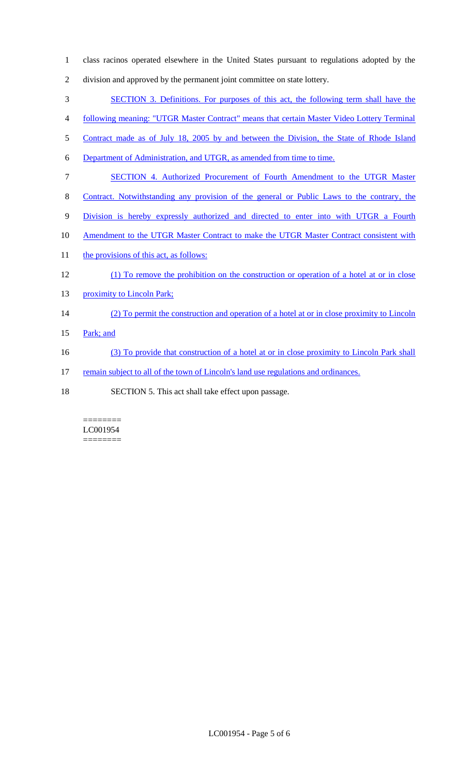- 1 class racinos operated elsewhere in the United States pursuant to regulations adopted by the 2 division and approved by the permanent joint committee on state lottery. 3 SECTION 3. Definitions. For purposes of this act, the following term shall have the 4 following meaning: "UTGR Master Contract" means that certain Master Video Lottery Terminal 5 Contract made as of July 18, 2005 by and between the Division, the State of Rhode Island
- 6 Department of Administration, and UTGR, as amended from time to time.
- 7 SECTION 4. Authorized Procurement of Fourth Amendment to the UTGR Master
- 8 Contract. Notwithstanding any provision of the general or Public Laws to the contrary, the
- 9 Division is hereby expressly authorized and directed to enter into with UTGR a Fourth
- 10 Amendment to the UTGR Master Contract to make the UTGR Master Contract consistent with
- 11 the provisions of this act, as follows:
- 12 (1) To remove the prohibition on the construction or operation of a hotel at or in close
- 13 proximity to Lincoln Park;

# 14 (2) To permit the construction and operation of a hotel at or in close proximity to Lincoln

- 15 Park; and
- 16 (3) To provide that construction of a hotel at or in close proximity to Lincoln Park shall
- 17 remain subject to all of the town of Lincoln's land use regulations and ordinances.
- 18 SECTION 5. This act shall take effect upon passage.

#### ======== LC001954 ========